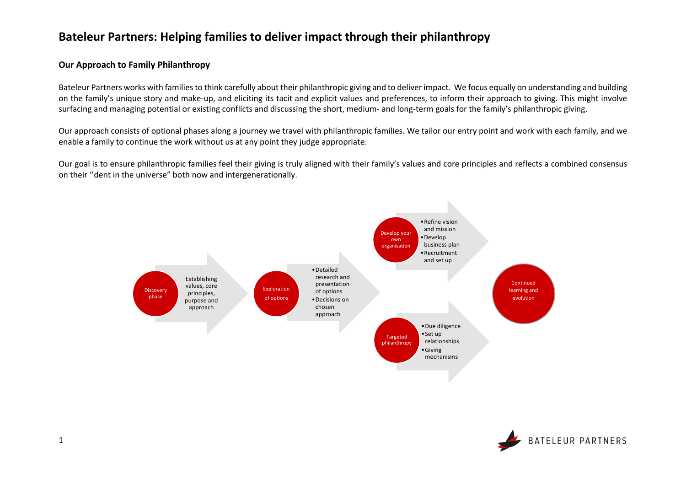### **Bateleur Partners: Helping families to deliver impact through their philanthropy**

### **Our Approach to Family Philanthropy**

Bateleur Partners works with families to think carefully about their philanthropic giving and to deliver impact. We focus equally on understanding and building on the family's unique story and make-up, and eliciting its tacit and explicit values and preferences, to inform their approach to giving. This might involve surfacing and managing potential or existing conflicts and discussing the short, medium- and long-term goals for the family's philanthropic giving.

Our approach consists of optional phases along a journey we travel with philanthropic families. We tailor our entry point and work with each family, and we enable a family to continue the work without us at any point they judge appropriate.

Our goal is to ensure philanthropic families feel their giving is truly aligned with their family's values and core principles and reflects a combined consensus on their ''dent in the universe" both now and intergenerationally.



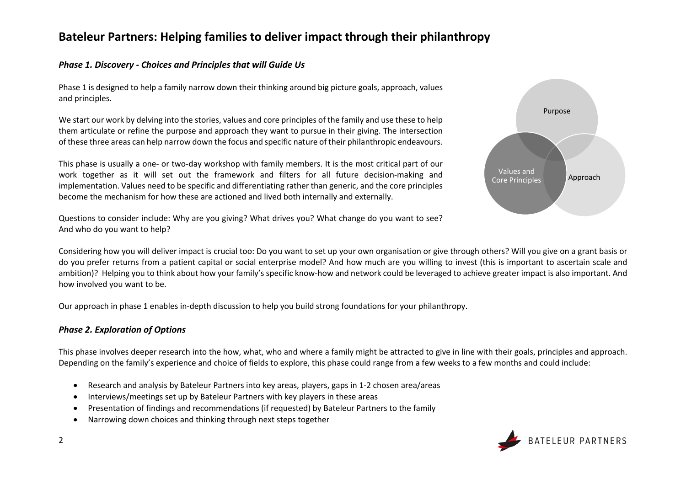# **Bateleur Partners: Helping families to deliver impact through their philanthropy**

### *Phase 1. Discovery - Choices and Principles that will Guide Us*

Phase 1 is designed to help a family narrow down their thinking around big picture goals, approach, values and principles.

We start our work by delving into the stories, values and core principles of the family and use these to help them articulate or refine the purpose and approach they want to pursue in their giving. The intersection of these three areas can help narrow down the focus and specific nature of their philanthropic endeavours.

This phase is usually a one- or two-day workshop with family members. It is the most critical part of our work together as it will set out the framework and filters for all future decision-making and implementation. Values need to be specific and differentiating rather than generic, and the core principles become the mechanism for how these are actioned and lived both internally and externally.

Questions to consider include: Why are you giving? What drives you? What change do you want to see? And who do you want to help?



Considering how you will deliver impact is crucial too: Do you want to set up your own organisation or give through others? Will you give on a grant basis or do you prefer returns from a patient capital or social enterprise model? And how much are you willing to invest (this is important to ascertain scale and ambition)? Helping you to think about how your family's specific know-how and network could be leveraged to achieve greater impact is also important. And how involved you want to be.

Our approach in phase 1 enables in-depth discussion to help you build strong foundations for your philanthropy.

### *Phase 2. Exploration of Options*

This phase involves deeper research into the how, what, who and where a family might be attracted to give in line with their goals, principles and approach. Depending on the family's experience and choice of fields to explore, this phase could range from a few weeks to a few months and could include:

- Research and analysis by Bateleur Partners into key areas, players, gaps in 1-2 chosen area/areas
- Interviews/meetings set up by Bateleur Partners with key players in these areas
- Presentation of findings and recommendations (if requested) by Bateleur Partners to the family
- Narrowing down choices and thinking through next steps together